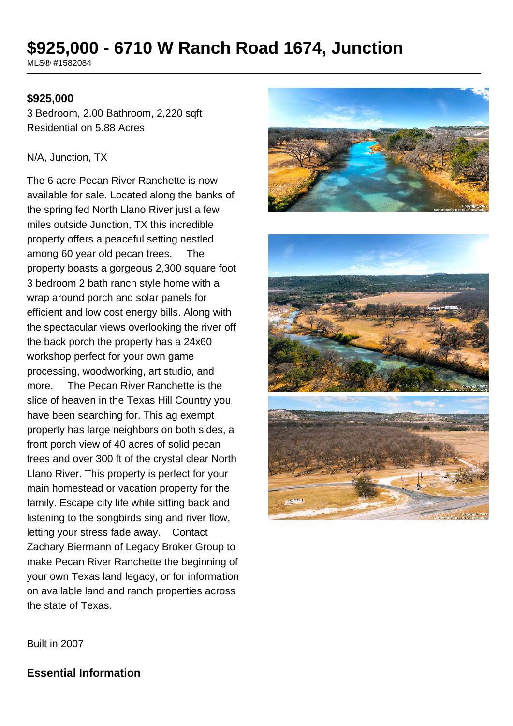# **\$925,000 - 6710 W Ranch Road 1674, Junction**

MLS® #1582084

#### **\$925,000**

3 Bedroom, 2.00 Bathroom, 2,220 sqft Residential on 5.88 Acres

#### N/A, Junction, TX

The 6 acre Pecan River Ranchette is now available for sale. Located along the banks of the spring fed North Llano River just a few miles outside Junction, TX this incredible property offers a peaceful setting nestled among 60 year old pecan trees. The property boasts a gorgeous 2,300 square foot 3 bedroom 2 bath ranch style home with a wrap around porch and solar panels for efficient and low cost energy bills. Along with the spectacular views overlooking the river off the back porch the property has a 24x60 workshop perfect for your own game processing, woodworking, art studio, and more. The Pecan River Ranchette is the slice of heaven in the Texas Hill Country you have been searching for. This ag exempt property has large neighbors on both sides, a front porch view of 40 acres of solid pecan trees and over 300 ft of the crystal clear North Llano River. This property is perfect for your main homestead or vacation property for the family. Escape city life while sitting back and listening to the songbirds sing and river flow, letting your stress fade away. Contact Zachary Biermann of Legacy Broker Group to make Pecan River Ranchette the beginning of your own Texas land legacy, or for information on available land and ranch properties across the state of Texas.



Built in 2007

**Essential Information**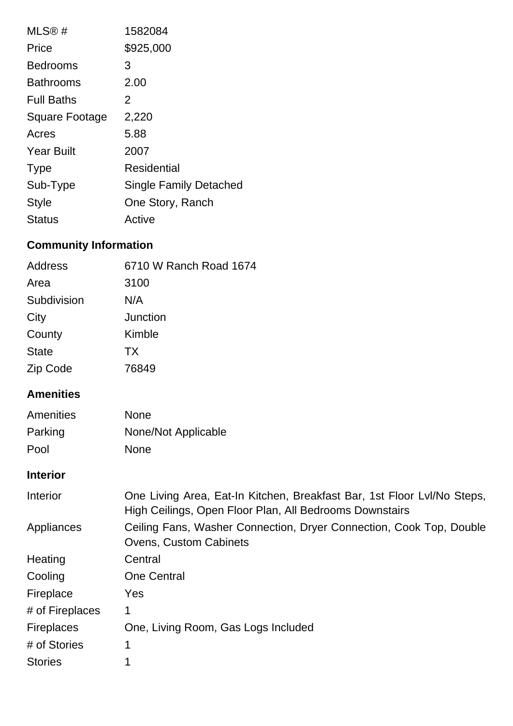| MLS@#                 | 1582084                |
|-----------------------|------------------------|
| Price                 | \$925,000              |
| <b>Bedrooms</b>       | 3                      |
| <b>Bathrooms</b>      | 2.00                   |
| <b>Full Baths</b>     | 2                      |
| <b>Square Footage</b> | 2,220                  |
| Acres                 | 5.88                   |
| <b>Year Built</b>     | 2007                   |
| <b>Type</b>           | Residential            |
| Sub-Type              | Single Family Detached |
| <b>Style</b>          | One Story, Ranch       |
| Status                | Active                 |

## **Community Information**

| Address      | 6710 W Ranch Road 1674 |
|--------------|------------------------|
| Area         | 3100                   |
| Subdivision  | N/A                    |
| City         | Junction               |
| County       | Kimble                 |
| <b>State</b> | <b>TX</b>              |
| Zip Code     | 76849                  |

## **Amenities**

| Amenities | <b>None</b>         |
|-----------|---------------------|
| Parking   | None/Not Applicable |
| Pool      | <b>None</b>         |

### **Interior**

| Interior          | One Living Area, Eat-In Kitchen, Breakfast Bar, 1st Floor Lvl/No Steps,<br>High Ceilings, Open Floor Plan, All Bedrooms Downstairs |
|-------------------|------------------------------------------------------------------------------------------------------------------------------------|
| Appliances        | Ceiling Fans, Washer Connection, Dryer Connection, Cook Top, Double<br><b>Ovens, Custom Cabinets</b>                               |
| Heating           | Central                                                                                                                            |
| Cooling           | <b>One Central</b>                                                                                                                 |
| Fireplace         | Yes                                                                                                                                |
| # of Fireplaces   | 1                                                                                                                                  |
| <b>Fireplaces</b> | One, Living Room, Gas Logs Included                                                                                                |
| # of Stories      | 1                                                                                                                                  |
| <b>Stories</b>    |                                                                                                                                    |